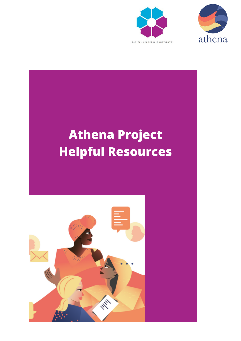



# **Athena Project Helpful ResourcesHAY**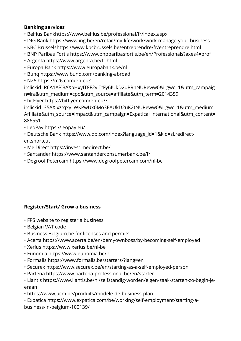# **Banking services**

- Belfius Bank<https://www.belfius.be/professional/fr/index.aspx>
- ING Bank<https://www.ing.be/en/retail/my-life/work/work-manage-your-business>
- KBC Brussels<https://www.kbcbrussels.be/entreprendre/fr/entreprendre.html>
- BNP Paribas Fortis<https://www.bnpparibasfortis.be/en/Professionals?axes4=prof>
- Argenta<https://www.argenta.be/fr.html>
- Europa Bank <https://www.europabank.be/nl>
- Bunq <https://www.bunq.com/banking-abroad>
- N26 https://n26.com/en-eu?

[irclickid=R6A1A%3AXpHxyIT8F2vITtFy6IUkD2uPRhNUReww0&irgwc=1&utm\\_campaig](https://n26.com/en-eu?irclickid=R6A1A%3AXpHxyIT8F2vITtFy6IUkD2uPRhNUReww0&irgwc=1&utm_campaign=ira&utm_medium=cpo&utm_source=affiliate&utm_term=2014359) n=ira&utm\_medium=cpo&utm\_source=affiliate&utm\_term=2014359

• bitFlyer https://bitflyer.com/en-eu/?

[irclickid=35AXIxztqxyLWKPwUx0Mo3EAUkD2uK2tNUReww0&irgwc=1&utm\\_medium=](https://bitflyer.com/en-eu/?irclickid=35AXIxztqxyLWKPwUx0Mo3EAUkD2uK2tNUReww0&irgwc=1&utm_medium=Affiliate&utm_source=Impact&utm_campaign=Expatica+International&utm_content=886551) Affiliate&utm\_source=Impact&utm\_campaign=Expatica+International&utm\_content= 886551

- LeoPay<https://leopay.eu/>
- [Deutsche Bank https://www.db.com/index?language\\_id=1&kid=sl.redirect](https://www.db.com/index?language_id=1&kid=sl.redirect-en.shortcut)en.shortcut
- Me Direct<https://invest.medirect.be/>
- Santander <https://www.santanderconsumerbank.be/fr>
- Degroof Petercam<https://www.degroofpetercam.com/nl-be>

# **Register/Start/ Grow a business**

- FPS website to register a business
- Belgian VAT code
- Business.Belgium.be for licenses and permits
- Acerta <https://www.acerta.be/en/bemyownboss/by-becoming-self-employed>
- Xerius <https://www.xerius.be/nl-be>
- Eunomia<https://www.eunomia.be/nl>
- Formalis<https://www.formalis.be/starters/?lang=en>
- Securex<https://www.securex.be/en/starting-as-a-self-employed-person>
- Partena <https://www.partena-professional.be/en/starter>
- [Liantis https://www.liantis.be/nl/zelfstandig-worden/eigen-zaak-starten-zo-begin-je](https://www.liantis.be/nl/zelfstandig-worden/eigen-zaak-starten-zo-begin-je-eraan)eraan
- •<https://www.ucm.be/produits/modele-de-business-plan>
- [Expatica https://www.expatica.com/be/working/self-employment/starting-a](https://www.expatica.com/be/working/self-employment/starting-a-business-in-belgium-100139/)business-in-belgium-100139/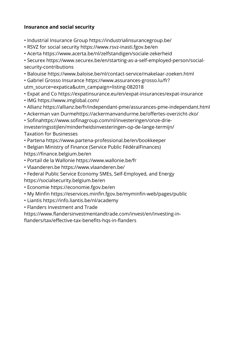## **Insurance and social security**

- Industrial Insurance Group <https://industrialinsurancegroup.be/>
- RSVZ for social security <https://www.rsvz-inasti.fgov.be/en>
- Acerta <https://www.acerta.be/nl/zelfstandigen/sociale-zekerheid>

[• Securex https://www.securex.be/en/starting-as-a-self-employed-person/social](https://www.securex.be/en/starting-as-a-self-employed-person/social-security-contributions)security-contributions

• Balouise <https://www.baloise.be/nl/contact-service/makelaar-zoeken.html>

[• Gabriel Grosso Insurance https://www.assurances-grosso.lu/fr?](https://www.assurances-grosso.lu/fr?utm_source=expatica&utm_campaign=listing-082018) utm\_source=expatica&utm\_campaign=listing-082018

- Expat and Co <https://expatinsurance.eu/en/expat-insurances/expat-insurance>
- IMG<https://www.imglobal.com/>
- Allianz <https://allianz.be/fr/independant-pme/assurances-pme-independant.html>
- Ackerman van Durm[ehttps://ackermanvandurme.be/offertes-overzicht-zko/](https://ackermanvandurme.be/offertes-overzicht-zko/)
- Sofinahttps://www.sofinagroup.com/nl/investeringen/onze-drie-

[investeringsstijlen/minderheidsinvesteringen-op-de-lange-termijn/](https://www.sofinagroup.com/nl/investeringen/onze-drie-investeringsstijlen/minderheidsinvesteringen-op-de-lange-termijn/) Taxation for Businesses

- Partena <https://www.partena-professional.be/en/bookkeeper>
- Belgian Ministry of Finance (Service Public FédéralFinances) <https://finance.belgium.be/en>
- Portail de la Wallonie <https://www.wallonie.be/fr>
- Vlaanderen.be <https://www.vlaanderen.be/>
- Federal Public Service Economy SMEs, Self-Employed, and Energy <https://socialsecurity.belgium.be/en>
- Economie<https://economie.fgov.be/en>
- My Minfin <https://eservices.minfin.fgov.be/myminfin-web/pages/public>
- Liantis <https://info.liantis.be/nl/academy>
- Flanders Investment and Trade

[https://www.flandersinvestmentandtrade.com/invest/en/investing-in](https://www.flandersinvestmentandtrade.com/invest/en/investing-in-flanders/tax/effective-tax-benefits-hqs-in-flanders)flanders/tax/effective-tax-benefits-hqs-in-flanders